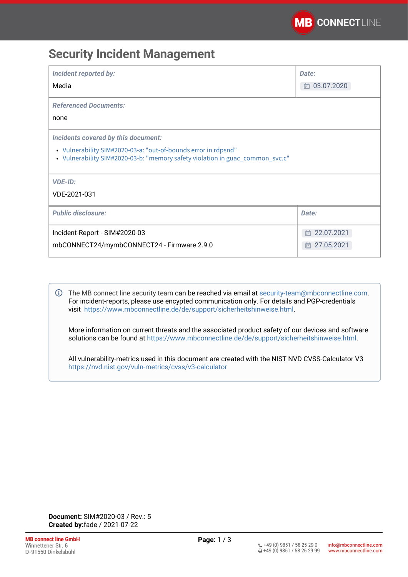# **Security Incident Management**

| <b>Incident reported by:</b><br>Media                                                                                                                                                  | Date:<br>□ 03.07.2020 |
|----------------------------------------------------------------------------------------------------------------------------------------------------------------------------------------|-----------------------|
|                                                                                                                                                                                        |                       |
| <b>Referenced Documents:</b><br>none                                                                                                                                                   |                       |
|                                                                                                                                                                                        |                       |
| Incidents covered by this document:<br>• Vulnerability SIM#2020-03-a: "out-of-bounds error in rdpsnd"<br>• Vulnerability SIM#2020-03-b: "memory safety violation in guac_common_svc.c" |                       |
| <b>VDE-ID:</b>                                                                                                                                                                         |                       |
| VDE-2021-031                                                                                                                                                                           |                       |
| <b>Public disclosure:</b>                                                                                                                                                              | Date:                 |
| Incident-Report - SIM#2020-03                                                                                                                                                          | 卣 22.07.2021          |
| mbCONNECT24/mymbCONNECT24 - Firmware 2.9.0                                                                                                                                             | □ 27.05.2021          |

The MB connect line security team can be reached via email at [security-team@mbconnectline.com](mailto:security-team@mbconnectline.com). For incident-reports, please use encypted communication only. For details and PGP-credentials visit [https://www.mbconnectline.de/de/support/sicherheitshinweise.html.](https://www.mbconnectline.de/de/support/sicherheitshinweise.html)

More information on current threats and the associated product safety of our devices and software solutions can be found at <https://www.mbconnectline.de/de/support/sicherheitshinweise.html>.

All vulnerability-metrics used in this document are created with the NIST NVD CVSS-Calculator V3 <https://nvd.nist.gov/vuln-metrics/cvss/v3-calculator>

**Document:** SIM#2020-03 / Rev.: 5 **Created by:**fade / 2021-07-22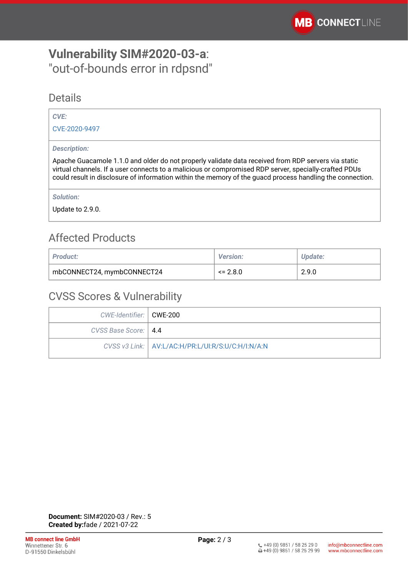# <span id="page-1-0"></span>**Vulnerability SIM#2020-03-a**: "out-of-bounds error in rdpsnd"

## **Details**

### *CVE:*

[CVE-2020-9497](https://cve.mitre.org/cgi-bin/cvename.cgi?name=CVE-2020-9497)

### *Description:*

Apache Guacamole 1.1.0 and older do not properly validate data received from RDP servers via static virtual channels. If a user connects to a malicious or compromised RDP server, specially-crafted PDUs could result in disclosure of information within the memory of the guacd process handling the connection.

*Solution:* 

Update to 2.9.0.

# Affected Products

| <b>Product:</b>            | <b>Version:</b> | Update: |
|----------------------------|-----------------|---------|
| mbCONNECT24, mymbCONNECT24 | $\leq$ 2.8.0    | 2.9.0   |

## CVSS Scores & Vulnerability

| CWE-Identifier:   CWE-200 |                                                     |
|---------------------------|-----------------------------------------------------|
| CVSS Base Score:   4.4    |                                                     |
|                           | CVSS v3 Link:   AV:L/AC:H/PR:L/UI:R/S:U/C:H/I:N/A:N |